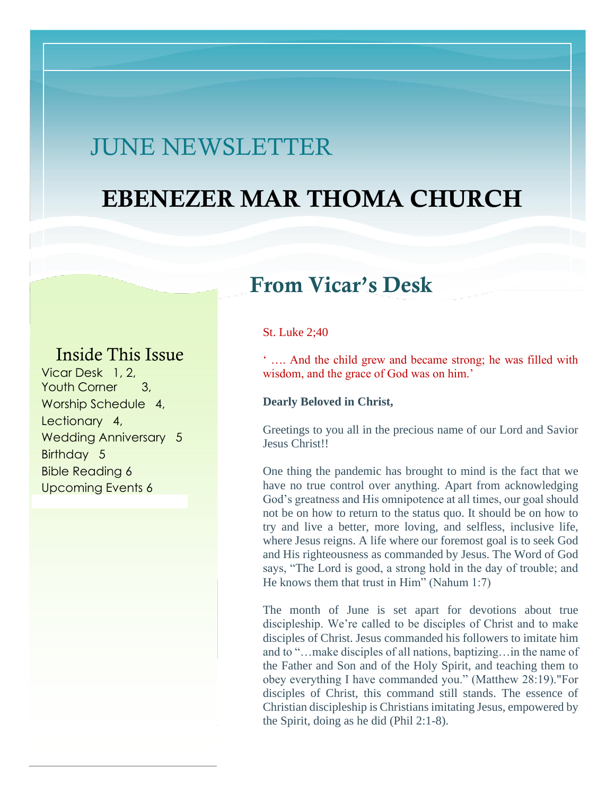# JUNE NEWSLETTER

# EBENEZER MAR THOMA CHURCH

# From Vicar's Desk

### Inside This Issue

Vicar Desk 1, 2, Youth Corner 3, Worship Schedule 4, Lectionary 4, Wedding Anniversary 5 Birthday 5 Bible Reading 6 Upcoming Events 6

#### St. Luke 2;40

' …. And the child grew and became strong; he was filled with wisdom, and the grace of God was on him.'

#### **Dearly Beloved in Christ,**

Greetings to you all in the precious name of our Lord and Savior Jesus Christ!!

One thing the pandemic has brought to mind is the fact that we have no true control over anything. Apart from acknowledging God's greatness and His omnipotence at all times, our goal should not be on how to return to the status quo. It should be on how to try and live a better, more loving, and selfless, inclusive life, where Jesus reigns. A life where our foremost goal is to seek God and His righteousness as commanded by Jesus. The Word of God says, "The Lord is good, a strong hold in the day of trouble; and He knows them that trust in Him" (Nahum 1:7)

The month of June is set apart for devotions about true discipleship. We're called to be disciples of Christ and to make disciples of Christ. Jesus commanded his followers to imitate him and to "…make disciples of all nations, baptizing…in the name of the Father and Son and of the Holy Spirit, and teaching them to obey everything I have commanded you." (Matthew 28:19)."For disciples of Christ, this command still stands. The essence of Christian discipleship is Christians imitating Jesus, empowered by the Spirit, doing as he did (Phil 2:1-8).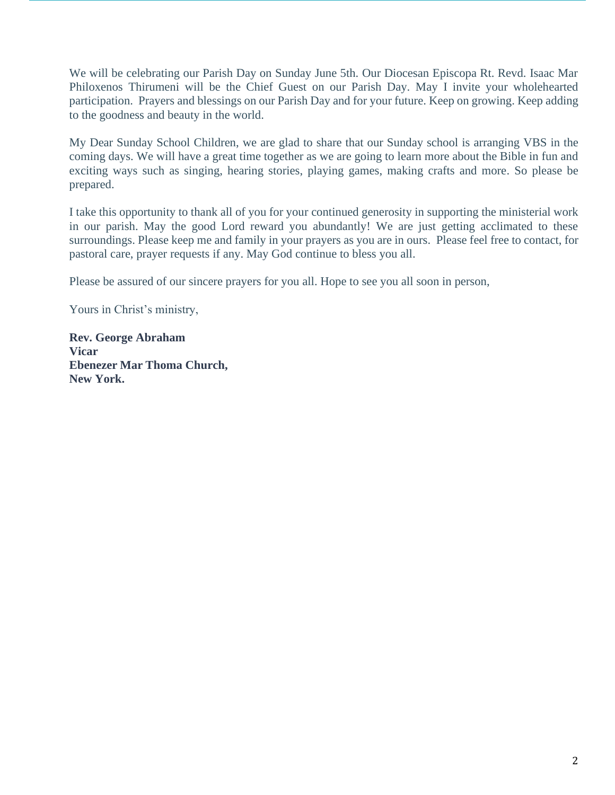We will be celebrating our Parish Day on Sunday June 5th. Our Diocesan Episcopa Rt. Revd. Isaac Mar Philoxenos Thirumeni will be the Chief Guest on our Parish Day. May I invite your wholehearted participation. Prayers and blessings on our Parish Day and for your future. Keep on growing. Keep adding to the goodness and beauty in the world.

My Dear Sunday School Children, we are glad to share that our Sunday school is arranging VBS in the coming days. We will have a great time together as we are going to learn more about the Bible in fun and exciting ways such as singing, hearing stories, playing games, making crafts and more. So please be prepared.

I take this opportunity to thank all of you for your continued generosity in supporting the ministerial work in our parish. May the good Lord reward you abundantly! We are just getting acclimated to these surroundings. Please keep me and family in your prayers as you are in ours. Please feel free to contact, for pastoral care, prayer requests if any. May God continue to bless you all.

Please be assured of our sincere prayers for you all. Hope to see you all soon in person,

Yours in Christ's ministry,

**Rev. George Abraham Vicar Ebenezer Mar Thoma Church, New York.**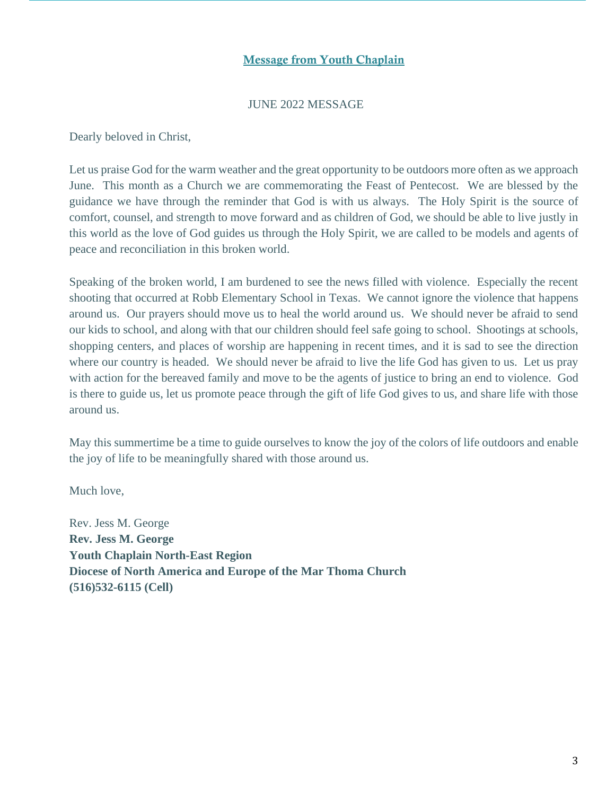#### Message from Youth Chaplain

#### JUNE 2022 MESSAGE

Dearly beloved in Christ,

Let us praise God for the warm weather and the great opportunity to be outdoors more often as we approach June. This month as a Church we are commemorating the Feast of Pentecost. We are blessed by the guidance we have through the reminder that God is with us always. The Holy Spirit is the source of comfort, counsel, and strength to move forward and as children of God, we should be able to live justly in this world as the love of God guides us through the Holy Spirit, we are called to be models and agents of peace and reconciliation in this broken world.

Speaking of the broken world, I am burdened to see the news filled with violence. Especially the recent shooting that occurred at Robb Elementary School in Texas. We cannot ignore the violence that happens around us. Our prayers should move us to heal the world around us. We should never be afraid to send our kids to school, and along with that our children should feel safe going to school. Shootings at schools, shopping centers, and places of worship are happening in recent times, and it is sad to see the direction where our country is headed. We should never be afraid to live the life God has given to us. Let us pray with action for the bereaved family and move to be the agents of justice to bring an end to violence. God is there to guide us, let us promote peace through the gift of life God gives to us, and share life with those around us.

May this summertime be a time to guide ourselves to know the joy of the colors of life outdoors and enable the joy of life to be meaningfully shared with those around us.

Much love,

Rev. Jess M. George **Rev. Jess M. George Youth Chaplain North-East Region Diocese of North America and Europe of the Mar Thoma Church (516)532-6115 (Cell)**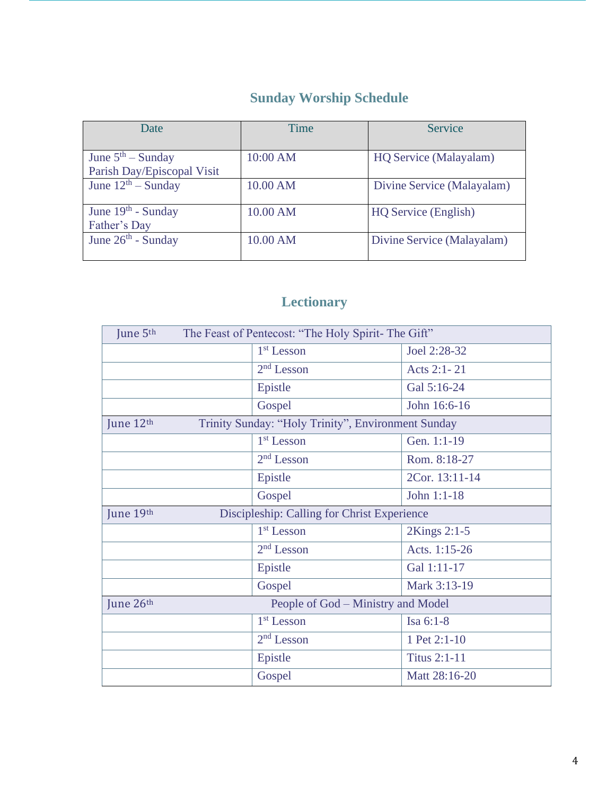## **Sunday Worship Schedule**

| Date                                              | Time     | Service                    |
|---------------------------------------------------|----------|----------------------------|
| June $5th$ – Sunday<br>Parish Day/Episcopal Visit | 10:00 AM | HQ Service (Malayalam)     |
| June $12^{th}$ – Sunday                           | 10.00 AM | Divine Service (Malayalam) |
| June $19th$ - Sunday<br>Father's Day              | 10.00 AM | HQ Service (English)       |
| June $26th$ - Sunday                              | 10.00 AM | Divine Service (Malayalam) |

## **Lectionary**

| June 5th<br>The Feast of Pentecost: "The Holy Spirit- The Gift" |                                    |                     |
|-----------------------------------------------------------------|------------------------------------|---------------------|
|                                                                 | $1st$ Lesson                       | Joel 2:28-32        |
|                                                                 | $2nd$ Lesson                       | Acts 2:1-21         |
|                                                                 | Epistle                            | Gal 5:16-24         |
|                                                                 | Gospel                             | John 16:6-16        |
| Trinity Sunday: "Holy Trinity", Environment Sunday<br>June 12th |                                    |                     |
|                                                                 | $1st$ Lesson                       | Gen. 1:1-19         |
|                                                                 | $2nd$ Lesson                       | Rom. 8:18-27        |
|                                                                 | Epistle                            | 2Cor. 13:11-14      |
|                                                                 | Gospel                             | John 1:1-18         |
| June 19th<br>Discipleship: Calling for Christ Experience        |                                    |                     |
|                                                                 | $1st$ Lesson                       | 2Kings 2:1-5        |
|                                                                 | $2nd$ Lesson                       | Acts. 1:15-26       |
|                                                                 | Epistle                            | Gal 1:11-17         |
|                                                                 | Gospel                             | Mark 3:13-19        |
| June 26th                                                       | People of God – Ministry and Model |                     |
|                                                                 | $1st$ Lesson                       | Isa 6:1-8           |
|                                                                 | $2nd$ Lesson                       | 1 Pet 2:1-10        |
|                                                                 | Epistle                            | <b>Titus 2:1-11</b> |
|                                                                 | Gospel                             | Matt 28:16-20       |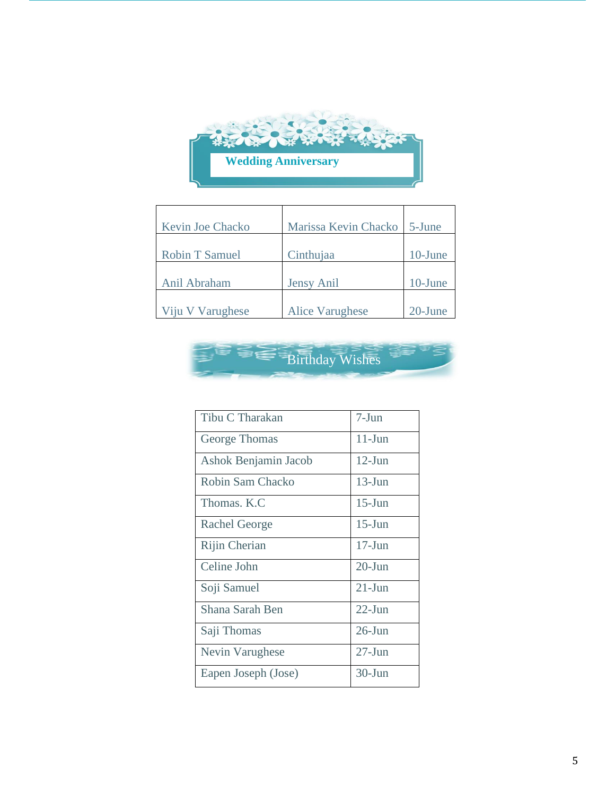

| <b>Kevin Joe Chacko</b> | Marissa Kevin Chacko   | 5-June     |
|-------------------------|------------------------|------------|
| <b>Robin T Samuel</b>   | Cinthujaa              | $10$ -June |
| Anil Abraham            | Jensy Anil             | 10-June    |
| Viju V Varughese        | <b>Alice Varughese</b> | 20-June    |



| Tibu C Tharakan      | 7-Jun      |
|----------------------|------------|
| George Thomas        | $11$ -Jun  |
| Ashok Benjamin Jacob | $12$ -Jun  |
| Robin Sam Chacko     | $13 - Jun$ |
| Thomas, K.C.         | $15$ -Jun  |
| <b>Rachel George</b> | $15$ -Jun  |
| Rijin Cherian        | $17$ -Jun  |
| Celine John          | $20$ -Jun  |
| Soji Samuel          | $21 - Jun$ |
| Shana Sarah Ben      | $22$ -Jun  |
| Saji Thomas          | $26$ -Jun  |
| Nevin Varughese      | $27 - Jun$ |
| Eapen Joseph (Jose)  | $30 - Jun$ |